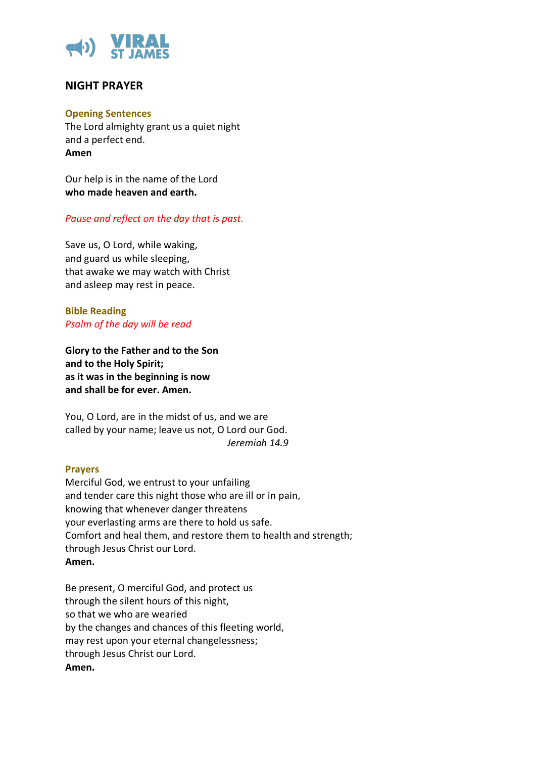

# **NIGHT PRAYER**

### **Opening Sentences**

The Lord almighty grant us a quiet night and a perfect end. **Amen**

Our help is in the name of the Lord **who made heaven and earth.** 

## *Pause and reflect on the day that is past.*

Save us, O Lord, while waking, and guard us while sleeping, that awake we may watch with Christ and asleep may rest in peace.

**Bible Reading**  *Psalm of the day will be read*

**Glory to the Father and to the Son and to the Holy Spirit; as it was in the beginning is now and shall be for ever. Amen.** 

You, O Lord, are in the midst of us, and we are called by your name; leave us not, O Lord our God. *Jeremiah 14.9* 

#### **Prayers**

Merciful God, we entrust to your unfailing and tender care this night those who are ill or in pain, knowing that whenever danger threatens your everlasting arms are there to hold us safe. Comfort and heal them, and restore them to health and strength; through Jesus Christ our Lord. **Amen.**

Be present, O merciful God, and protect us through the silent hours of this night, so that we who are wearied by the changes and chances of this fleeting world, may rest upon your eternal changelessness; through Jesus Christ our Lord. **Amen.**